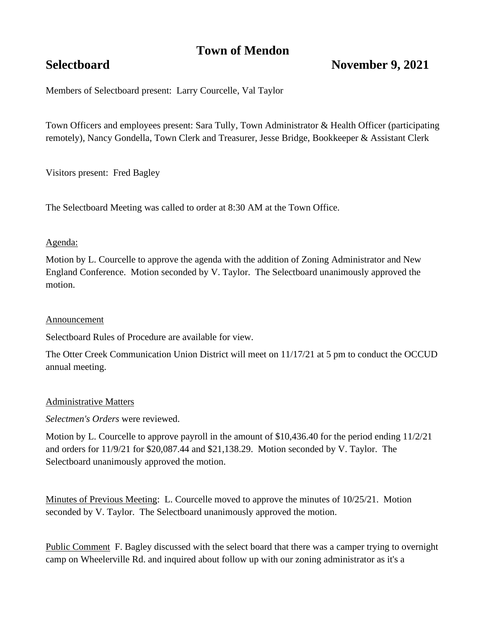# **Town of Mendon**

## **Selectboard November 9, 2021**

Members of Selectboard present: Larry Courcelle, Val Taylor

Town Officers and employees present: Sara Tully, Town Administrator & Health Officer (participating remotely), Nancy Gondella, Town Clerk and Treasurer, Jesse Bridge, Bookkeeper & Assistant Clerk

Visitors present: Fred Bagley

The Selectboard Meeting was called to order at 8:30 AM at the Town Office.

#### Agenda:

Motion by L. Courcelle to approve the agenda with the addition of Zoning Administrator and New England Conference. Motion seconded by V. Taylor. The Selectboard unanimously approved the motion.

#### Announcement

Selectboard Rules of Procedure are available for view.

The Otter Creek Communication Union District will meet on 11/17/21 at 5 pm to conduct the OCCUD annual meeting.

#### Administrative Matters

*Selectmen's Orders* were reviewed.

Motion by L. Courcelle to approve payroll in the amount of \$10,436.40 for the period ending 11/2/21 and orders for 11/9/21 for \$20,087.44 and \$21,138.29. Motion seconded by V. Taylor. The Selectboard unanimously approved the motion.

Minutes of Previous Meeting: L. Courcelle moved to approve the minutes of 10/25/21. Motion seconded by V. Taylor. The Selectboard unanimously approved the motion.

Public Comment F. Bagley discussed with the select board that there was a camper trying to overnight camp on Wheelerville Rd. and inquired about follow up with our zoning administrator as it's a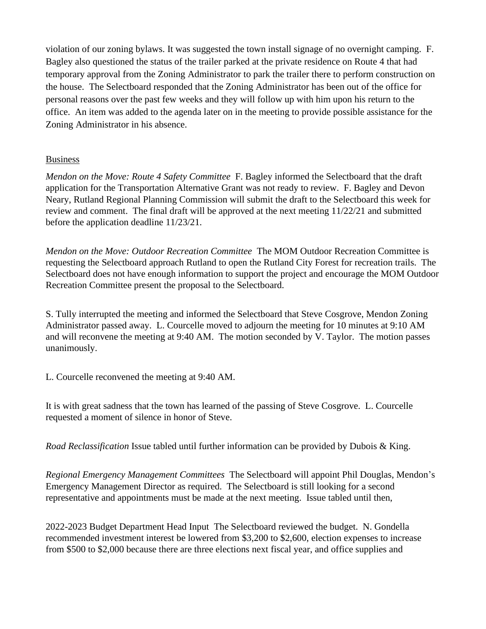violation of our zoning bylaws. It was suggested the town install signage of no overnight camping. F. Bagley also questioned the status of the trailer parked at the private residence on Route 4 that had temporary approval from the Zoning Administrator to park the trailer there to perform construction on the house. The Selectboard responded that the Zoning Administrator has been out of the office for personal reasons over the past few weeks and they will follow up with him upon his return to the office. An item was added to the agenda later on in the meeting to provide possible assistance for the Zoning Administrator in his absence.

### Business

*Mendon on the Move: Route 4 Safety Committee* F. Bagley informed the Selectboard that the draft application for the Transportation Alternative Grant was not ready to review. F. Bagley and Devon Neary, Rutland Regional Planning Commission will submit the draft to the Selectboard this week for review and comment. The final draft will be approved at the next meeting 11/22/21 and submitted before the application deadline 11/23/21.

*Mendon on the Move: Outdoor Recreation Committee* The MOM Outdoor Recreation Committee is requesting the Selectboard approach Rutland to open the Rutland City Forest for recreation trails. The Selectboard does not have enough information to support the project and encourage the MOM Outdoor Recreation Committee present the proposal to the Selectboard.

S. Tully interrupted the meeting and informed the Selectboard that Steve Cosgrove, Mendon Zoning Administrator passed away. L. Courcelle moved to adjourn the meeting for 10 minutes at 9:10 AM and will reconvene the meeting at 9:40 AM. The motion seconded by V. Taylor. The motion passes unanimously.

L. Courcelle reconvened the meeting at 9:40 AM.

It is with great sadness that the town has learned of the passing of Steve Cosgrove. L. Courcelle requested a moment of silence in honor of Steve.

*Road Reclassification* Issue tabled until further information can be provided by Dubois & King.

*Regional Emergency Management Committees* The Selectboard will appoint Phil Douglas, Mendon's Emergency Management Director as required. The Selectboard is still looking for a second representative and appointments must be made at the next meeting. Issue tabled until then,

2022-2023 Budget Department Head Input The Selectboard reviewed the budget. N. Gondella recommended investment interest be lowered from \$3,200 to \$2,600, election expenses to increase from \$500 to \$2,000 because there are three elections next fiscal year, and office supplies and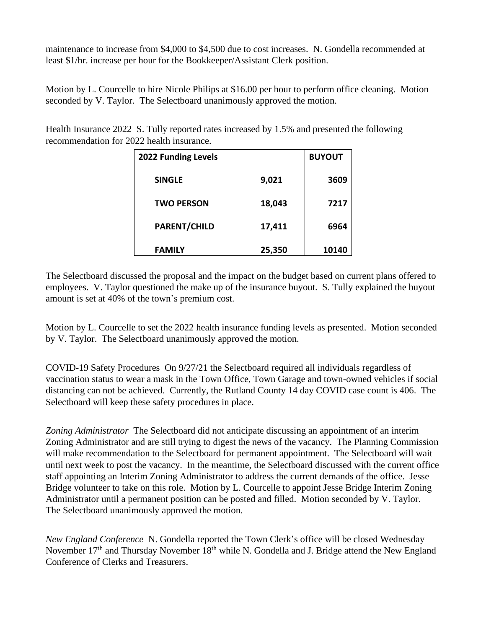maintenance to increase from \$4,000 to \$4,500 due to cost increases. N. Gondella recommended at least \$1/hr. increase per hour for the Bookkeeper/Assistant Clerk position.

Motion by L. Courcelle to hire Nicole Philips at \$16.00 per hour to perform office cleaning. Motion seconded by V. Taylor. The Selectboard unanimously approved the motion.

Health Insurance 2022 S. Tully reported rates increased by 1.5% and presented the following recommendation for 2022 health insurance.

| <b>2022 Funding Levels</b> |        | <b>BUYOUT</b> |
|----------------------------|--------|---------------|
| <b>SINGLE</b>              | 9,021  | 3609          |
| <b>TWO PERSON</b>          | 18,043 | 7217          |
| <b>PARENT/CHILD</b>        | 17,411 | 6964          |
| <b>FAMILY</b>              | 25,350 | 10140         |

The Selectboard discussed the proposal and the impact on the budget based on current plans offered to employees. V. Taylor questioned the make up of the insurance buyout. S. Tully explained the buyout amount is set at 40% of the town's premium cost.

Motion by L. Courcelle to set the 2022 health insurance funding levels as presented. Motion seconded by V. Taylor. The Selectboard unanimously approved the motion.

COVID-19 Safety Procedures On 9/27/21 the Selectboard required all individuals regardless of vaccination status to wear a mask in the Town Office, Town Garage and town-owned vehicles if social distancing can not be achieved. Currently, the Rutland County 14 day COVID case count is 406. The Selectboard will keep these safety procedures in place.

*Zoning Administrator* The Selectboard did not anticipate discussing an appointment of an interim Zoning Administrator and are still trying to digest the news of the vacancy. The Planning Commission will make recommendation to the Selectboard for permanent appointment. The Selectboard will wait until next week to post the vacancy. In the meantime, the Selectboard discussed with the current office staff appointing an Interim Zoning Administrator to address the current demands of the office. Jesse Bridge volunteer to take on this role. Motion by L. Courcelle to appoint Jesse Bridge Interim Zoning Administrator until a permanent position can be posted and filled. Motion seconded by V. Taylor. The Selectboard unanimously approved the motion.

*New England Conference* N. Gondella reported the Town Clerk's office will be closed Wednesday November 17<sup>th</sup> and Thursday November 18<sup>th</sup> while N. Gondella and J. Bridge attend the New England Conference of Clerks and Treasurers.